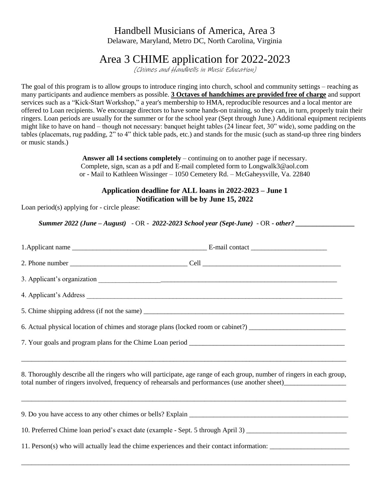## Handbell Musicians of America, Area 3 Delaware, Maryland, Metro DC, North Carolina, Virginia

## Area 3 CHIME application for 2022-2023

(Chimes and Handbells in Music Education)

The goal of this program is to allow groups to introduce ringing into church, school and community settings – reaching as many participants and audience members as possible. **3 Octaves of handchimes are provided free of charge** and support services such as a "Kick-Start Workshop," a year's membership to HMA, reproducible resources and a local mentor are offered to Loan recipients. We encourage directors to have some hands-on training, so they can, in turn, properly train their ringers. Loan periods are usually for the summer or for the school year (Sept through June.) Additional equipment recipients might like to have on hand – though not necessary: banquet height tables (24 linear feet, 30" wide), some padding on the tables (placemats, rug padding, 2" to 4" thick table pads, etc.) and stands for the music (such as stand-up three ring binders or music stands.)

> **Answer all 14 sections completely** – continuing on to another page if necessary. Complete, sign, scan as a pdf and E-mail completed form to Longwalk3@aol.com or - Mail to Kathleen Wissinger – 1050 Cemetery Rd. – McGaheysville, Va. 22840

## **Application deadline for ALL loans in 2022-2023 – June 1 Notification will be by June 15, 2022**

Loan period(s) applying for - circle please:

 *Summer 2022 (June – August)* - OR - *2022-2023 School year (Sept-June)* - OR *- other? \_\_\_\_\_\_\_\_\_\_\_\_\_\_\_\_\_*

| 8. Thoroughly describe all the ringers who will participate, age range of each group, number of ringers in each group,<br>total number of ringers involved, frequency of rehearsals and performances (use another sheet)________________<br>,我们也不能在这里的人,我们也不能在这里的人,我们也不能在这里的人,我们也不能在这里的人,我们也不能在这里的人,我们也不能在这里的人,我们也不能在这里的人,我们也 |  |
|-------------------------------------------------------------------------------------------------------------------------------------------------------------------------------------------------------------------------------------------------------------------------------------------------------------------------------|--|
|                                                                                                                                                                                                                                                                                                                               |  |
| 10. Preferred Chime loan period's exact date (example - Sept. 5 through April 3) _________________________                                                                                                                                                                                                                    |  |
|                                                                                                                                                                                                                                                                                                                               |  |
|                                                                                                                                                                                                                                                                                                                               |  |